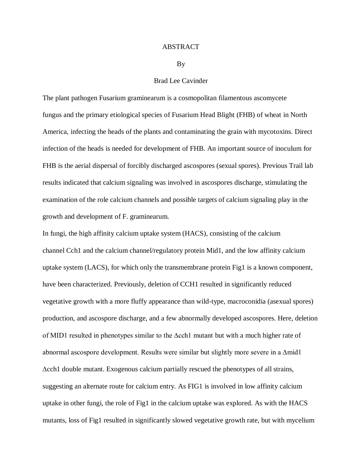## ABSTRACT

## By

## Brad Lee Cavinder

The plant pathogen Fusarium graminearum is a cosmopolitan filamentous ascomycete fungus and the primary etiological species of Fusarium Head Blight (FHB) of wheat in North America, infecting the heads of the plants and contaminating the grain with mycotoxins. Direct infection of the heads is needed for development of FHB. An important source of inoculum for FHB is the aerial dispersal of forcibly discharged ascospores (sexual spores). Previous Trail lab results indicated that calcium signaling was involved in ascospores discharge, stimulating the examination of the role calcium channels and possible targets of calcium signaling play in the growth and development of F. graminearum.

In fungi, the high affinity calcium uptake system (HACS), consisting of the calcium channel Cch1 and the calcium channel/regulatory protein Mid1, and the low affinity calcium uptake system (LACS), for which only the transmembrane protein Fig1 is a known component, have been characterized. Previously, deletion of CCH1 resulted in significantly reduced vegetative growth with a more fluffy appearance than wild-type, macroconidia (asexual spores) production, and ascospore discharge, and a few abnormally developed ascospores. Here, deletion of MID1 resulted in phenotypes similar to the ∆cch1 mutant but with a much higher rate of abnormal ascospore development. Results were similar but slightly more severe in a ∆mid1 ∆cch1 double mutant. Exogenous calcium partially rescued the phenotypes of all strains, suggesting an alternate route for calcium entry. As FIG1 is involved in low affinity calcium uptake in other fungi, the role of Fig1 in the calcium uptake was explored. As with the HACS mutants, loss of Fig1 resulted in significantly slowed vegetative growth rate, but with mycelium